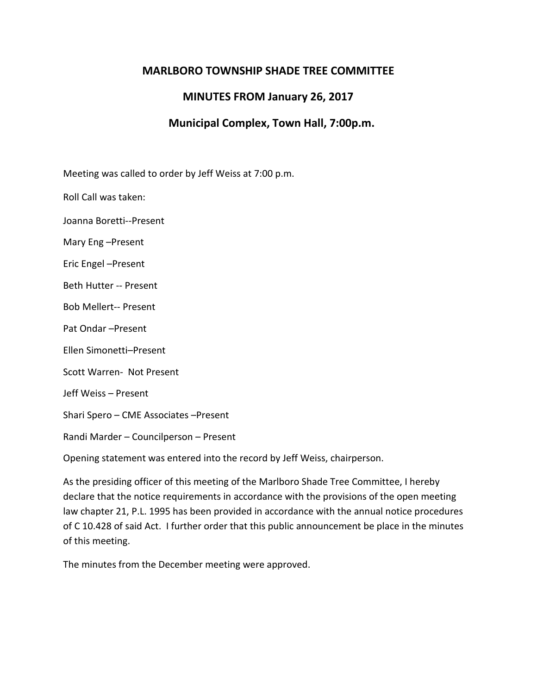## **MARLBORO TOWNSHIP SHADE TREE COMMITTEE**

## **MINUTES FROM January 26, 2017**

## **Municipal Complex, Town Hall, 7:00p.m.**

Meeting was called to order by Jeff Weiss at 7:00 p.m.

Roll Call was taken:

Joanna Boretti--Present

Mary Eng –Present

Eric Engel –Present

Beth Hutter -- Present

Bob Mellert-- Present

Pat Ondar –Present

Ellen Simonetti–Present

Scott Warren- Not Present

Jeff Weiss – Present

Shari Spero – CME Associates –Present

Randi Marder – Councilperson – Present

Opening statement was entered into the record by Jeff Weiss, chairperson.

As the presiding officer of this meeting of the Marlboro Shade Tree Committee, I hereby declare that the notice requirements in accordance with the provisions of the open meeting law chapter 21, P.L. 1995 has been provided in accordance with the annual notice procedures of C 10.428 of said Act. I further order that this public announcement be place in the minutes of this meeting.

The minutes from the December meeting were approved.